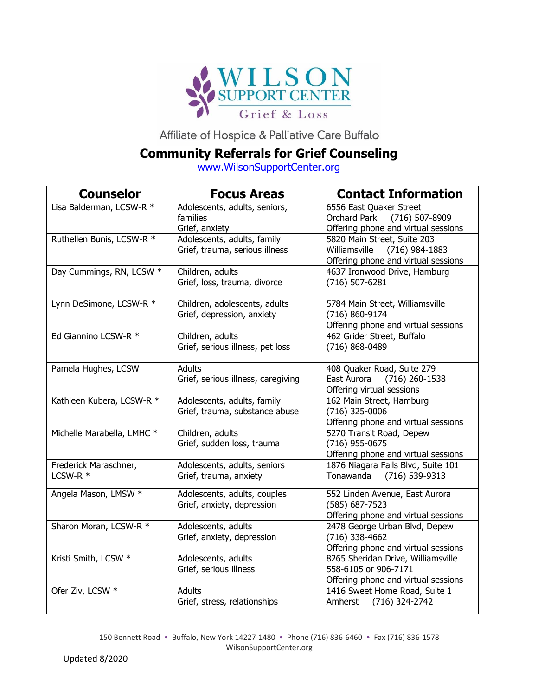

Affiliate of Hospice & Palliative Care Buffalo

## **Community Referrals for Grief Counseling**

[www.WilsonSupportCenter.org](http://www.wilsonsupportcenter.org/)

| <b>Counselor</b>                  | <b>Focus Areas</b>                                            | <b>Contact Information</b>                                                                              |
|-----------------------------------|---------------------------------------------------------------|---------------------------------------------------------------------------------------------------------|
| Lisa Balderman, LCSW-R *          | Adolescents, adults, seniors,<br>families<br>Grief, anxiety   | 6556 East Quaker Street<br>(716) 507-8909<br>Orchard Park<br>Offering phone and virtual sessions        |
| Ruthellen Bunis, LCSW-R *         | Adolescents, adults, family<br>Grief, trauma, serious illness | 5820 Main Street, Suite 203<br>Williamsville<br>$(716)$ 984-1883<br>Offering phone and virtual sessions |
| Day Cummings, RN, LCSW *          | Children, adults<br>Grief, loss, trauma, divorce              | 4637 Ironwood Drive, Hamburg<br>(716) 507-6281                                                          |
| Lynn DeSimone, LCSW-R *           | Children, adolescents, adults<br>Grief, depression, anxiety   | 5784 Main Street, Williamsville<br>(716) 860-9174<br>Offering phone and virtual sessions                |
| Ed Giannino LCSW-R *              | Children, adults<br>Grief, serious illness, pet loss          | 462 Grider Street, Buffalo<br>(716) 868-0489                                                            |
| Pamela Hughes, LCSW               | <b>Adults</b><br>Grief, serious illness, caregiving           | 408 Quaker Road, Suite 279<br>East Aurora<br>$(716)$ 260-1538<br>Offering virtual sessions              |
| Kathleen Kubera, LCSW-R *         | Adolescents, adults, family<br>Grief, trauma, substance abuse | 162 Main Street, Hamburg<br>(716) 325-0006<br>Offering phone and virtual sessions                       |
| Michelle Marabella, LMHC *        | Children, adults<br>Grief, sudden loss, trauma                | 5270 Transit Road, Depew<br>(716) 955-0675<br>Offering phone and virtual sessions                       |
| Frederick Maraschner,<br>LCSW-R * | Adolescents, adults, seniors<br>Grief, trauma, anxiety        | 1876 Niagara Falls Blvd, Suite 101<br>Tonawanda<br>(716) 539-9313                                       |
| Angela Mason, LMSW *              | Adolescents, adults, couples<br>Grief, anxiety, depression    | 552 Linden Avenue, East Aurora<br>(585) 687-7523<br>Offering phone and virtual sessions                 |
| Sharon Moran, LCSW-R *            | Adolescents, adults<br>Grief, anxiety, depression             | 2478 George Urban Blvd, Depew<br>(716) 338-4662<br>Offering phone and virtual sessions                  |
| Kristi Smith, LCSW *              | Adolescents, adults<br>Grief, serious illness                 | 8265 Sheridan Drive, Williamsville<br>558-6105 or 906-7171<br>Offering phone and virtual sessions       |
| Ofer Ziv, LCSW *                  | Adults<br>Grief, stress, relationships                        | 1416 Sweet Home Road, Suite 1<br>Amherst<br>(716) 324-2742                                              |

150 Bennett Road • Buffalo, New York 14227-1480 • Phone (716) 836-6460 • Fax (716) 836-1578 WilsonSupportCenter.org